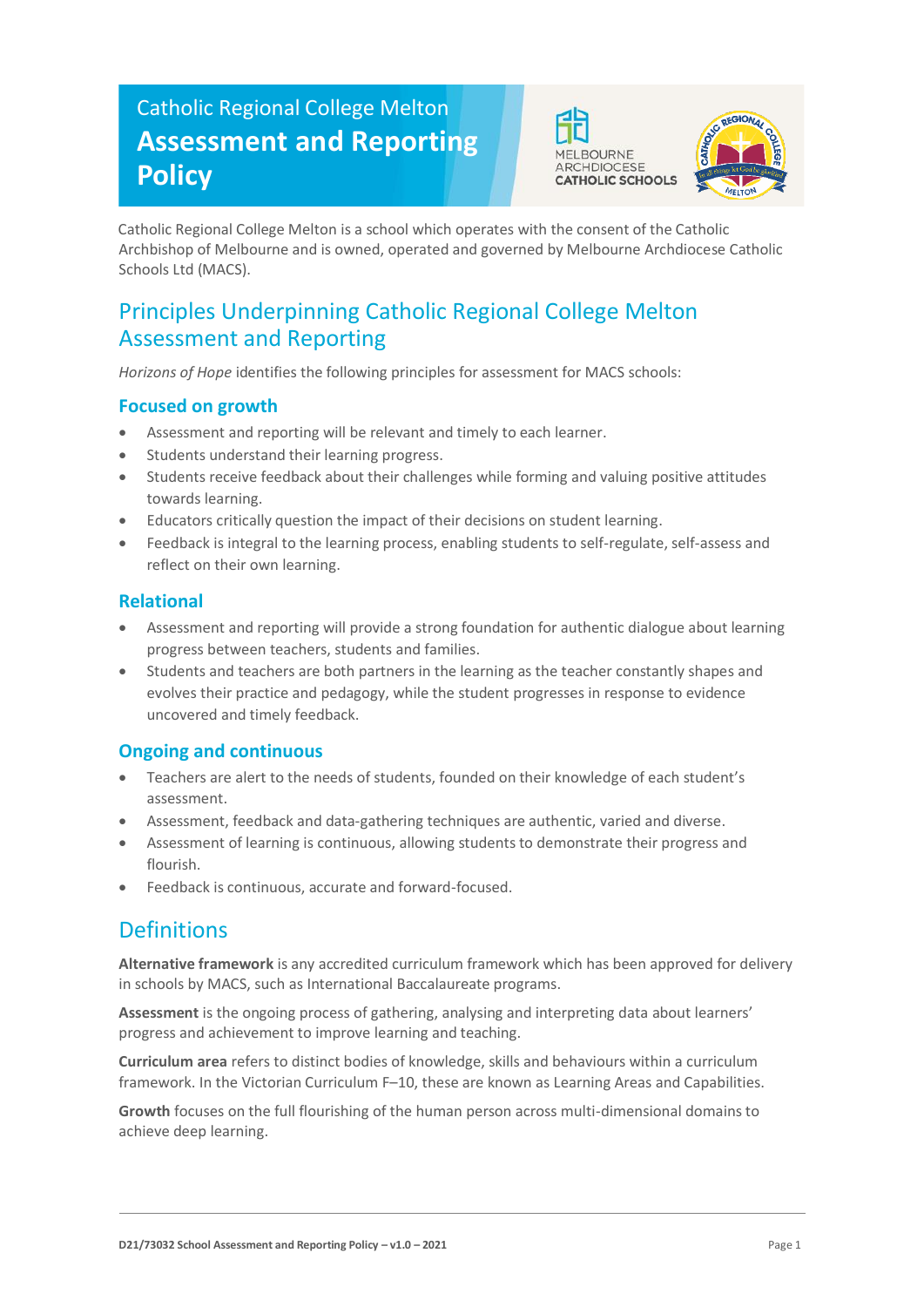# Catholic Regional College Melton **Assessment and Reporting Policy**





Catholic Regional College Melton is a school which operates with the consent of the Catholic Archbishop of Melbourne and is owned, operated and governed by Melbourne Archdiocese Catholic Schools Ltd (MACS).

## Principles Underpinning Catholic Regional College Melton Assessment and Reporting

*Horizons of Hope* identifies the following principles for assessment for MACS schools:

### **Focused on growth**

- Assessment and reporting will be relevant and timely to each learner.
- Students understand their learning progress.
- Students receive feedback about their challenges while forming and valuing positive attitudes towards learning.
- Educators critically question the impact of their decisions on student learning.
- Feedback is integral to the learning process, enabling students to self-regulate, self-assess and reflect on their own learning.

#### **Relational**

- Assessment and reporting will provide a strong foundation for authentic dialogue about learning progress between teachers, students and families.
- Students and teachers are both partners in the learning as the teacher constantly shapes and evolves their practice and pedagogy, while the student progresses in response to evidence uncovered and timely feedback.

### **Ongoing and continuous**

- Teachers are alert to the needs of students, founded on their knowledge of each student's assessment.
- Assessment, feedback and data-gathering techniques are authentic, varied and diverse.
- Assessment of learning is continuous, allowing students to demonstrate their progress and flourish.
- Feedback is continuous, accurate and forward-focused.

## Definitions

**Alternative framework** is any accredited curriculum framework which has been approved for delivery in schools by MACS, such as International Baccalaureate programs.

**Assessment** is the ongoing process of gathering, analysing and interpreting data about learners' progress and achievement to improve learning and teaching.

**Curriculum area** refers to distinct bodies of knowledge, skills and behaviours within a curriculum framework. In the Victorian Curriculum F–10, these are known as Learning Areas and Capabilities.

**Growth** focuses on the full flourishing of the human person across multi-dimensional domains to achieve deep learning.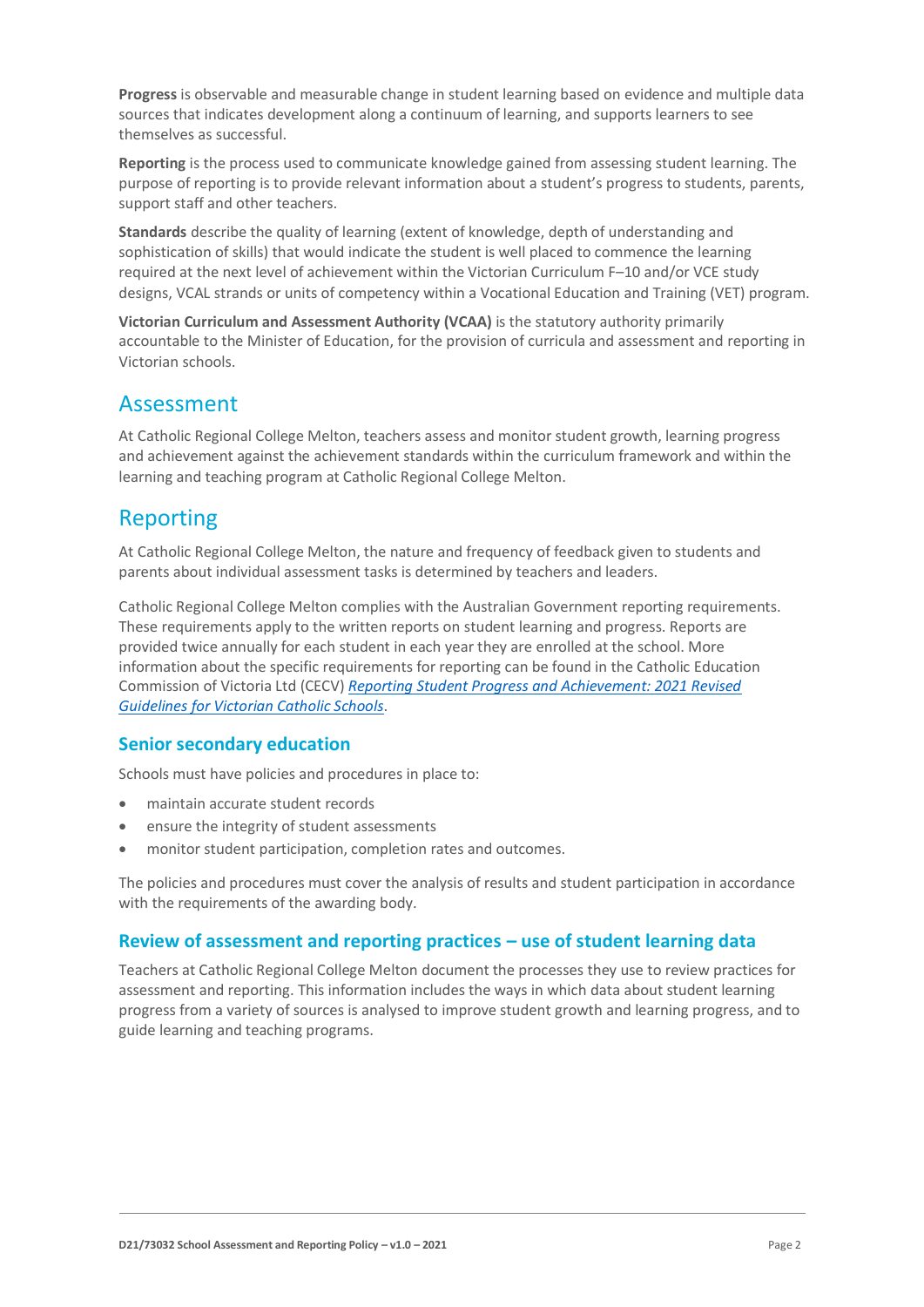**Progress** is observable and measurable change in student learning based on evidence and multiple data sources that indicates development along a continuum of learning, and supports learners to see themselves as successful.

**Reporting** is the process used to communicate knowledge gained from assessing student learning. The purpose of reporting is to provide relevant information about a student's progress to students, parents, support staff and other teachers.

**Standards** describe the quality of learning (extent of knowledge, depth of understanding and sophistication of skills) that would indicate the student is well placed to commence the learning required at the next level of achievement within the Victorian Curriculum F–10 and/or VCE study designs, VCAL strands or units of competency within a Vocational Education and Training (VET) program.

**Victorian Curriculum and Assessment Authority (VCAA)** is the statutory authority primarily accountable to the Minister of Education, for the provision of curricula and assessment and reporting in Victorian schools.

## Assessment

At Catholic Regional College Melton, teachers assess and monitor student growth, learning progress and achievement against the achievement standards within the curriculum framework and within the learning and teaching program at Catholic Regional College Melton.

## Reporting

At Catholic Regional College Melton, the nature and frequency of feedback given to students and parents about individual assessment tasks is determined by teachers and leaders.

Catholic Regional College Melton complies with the Australian Government reporting requirements. These requirements apply to the written reports on student learning and progress. Reports are provided twice annually for each student in each year they are enrolled at the school. More information about the specific requirements for reporting can be found in the Catholic Education Commission of Victoria Ltd (CECV) *[Reporting Student Progress and Achievement: 2021 Revised](https://cevn.cecv.catholic.edu.au/MelbourneDiocese/Document-File/Curriculum/Reporting/CECV-2019-Revised-Student-Reporting-Guidelines.aspx)  [Guidelines for Victorian Catholic Schools](https://cevn.cecv.catholic.edu.au/MelbourneDiocese/Document-File/Curriculum/Reporting/CECV-2019-Revised-Student-Reporting-Guidelines.aspx)*.

#### **Senior secondary education**

Schools must have policies and procedures in place to:

- maintain accurate student records
- ensure the integrity of student assessments
- monitor student participation, completion rates and outcomes.

The policies and procedures must cover the analysis of results and student participation in accordance with the requirements of the awarding body.

#### **Review of assessment and reporting practices – use of student learning data**

Teachers at Catholic Regional College Melton document the processes they use to review practices for assessment and reporting. This information includes the ways in which data about student learning progress from a variety of sources is analysed to improve student growth and learning progress, and to guide learning and teaching programs.